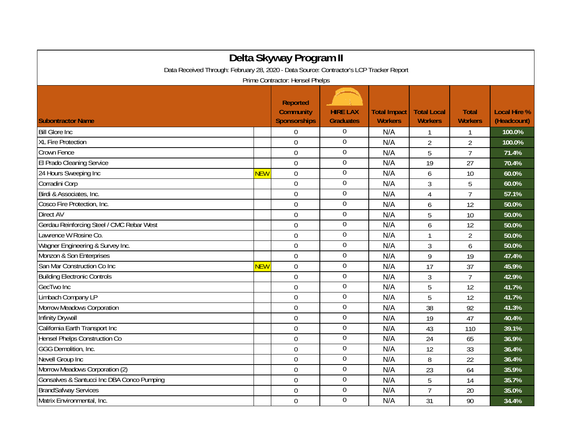| Delta Skyway Program II                                                                                                    |            |                                                            |                                     |                                       |                                      |                                |                                    |  |  |
|----------------------------------------------------------------------------------------------------------------------------|------------|------------------------------------------------------------|-------------------------------------|---------------------------------------|--------------------------------------|--------------------------------|------------------------------------|--|--|
| Data Received Through: February 28, 2020 - Data Source: Contractor's LCP Tracker Report<br>Prime Contractor: Hensel Phelps |            |                                                            |                                     |                                       |                                      |                                |                                    |  |  |
| <b>Subontractor Name</b>                                                                                                   |            | <b>Reported</b><br><b>Community</b><br><b>Sponsorships</b> | <b>HIRE LAX</b><br><b>Graduates</b> | <b>Total Impact</b><br><b>Workers</b> | <b>Total Local</b><br><b>Workers</b> | <b>Total</b><br><b>Workers</b> | <b>Local Hire %</b><br>(Headcount) |  |  |
| <b>Bill Glore Inc</b>                                                                                                      |            | 0                                                          | $\boldsymbol{0}$                    | N/A                                   | 1                                    |                                | 100.0%                             |  |  |
| <b>XL Fire Protection</b>                                                                                                  |            | $\mathbf 0$                                                | $\boldsymbol{0}$                    | N/A                                   | $\overline{2}$                       | $\overline{2}$                 | 100.0%                             |  |  |
| Crown Fence                                                                                                                |            | $\overline{0}$                                             | $\mathbf 0$                         | N/A                                   | 5                                    | $\overline{7}$                 | 71.4%                              |  |  |
| El Prado Cleaning Service                                                                                                  |            | $\overline{0}$                                             | $\overline{0}$                      | N/A                                   | 19                                   | 27                             | 70.4%                              |  |  |
| 24 Hours Sweeping Inc                                                                                                      | <b>NEW</b> | $\mathbf 0$                                                | $\mathbf 0$                         | N/A                                   | 6                                    | 10                             | 60.0%                              |  |  |
| Corradini Corp                                                                                                             |            | $\overline{0}$                                             | $\overline{0}$                      | N/A                                   | 3                                    | 5                              | 60.0%                              |  |  |
| Birdi & Associates, Inc.                                                                                                   |            | $\mathbf 0$                                                | $\boldsymbol{0}$                    | N/A                                   | $\overline{4}$                       | $\overline{7}$                 | 57.1%                              |  |  |
| Cosco Fire Protection, Inc.                                                                                                |            | $\overline{0}$                                             | $\overline{0}$                      | N/A                                   | 6                                    | 12                             | 50.0%                              |  |  |
| <b>Direct AV</b>                                                                                                           |            | $\Omega$                                                   | $\mathbf 0$                         | N/A                                   | 5                                    | 10                             | 50.0%                              |  |  |
| Gerdau Reinforcing Steel / CMC Rebar West                                                                                  |            | $\mathbf 0$                                                | $\mathbf 0$                         | N/A                                   | 6                                    | 12                             | 50.0%                              |  |  |
| Lawrence W Rosine Co.                                                                                                      |            | $\mathbf 0$                                                | $\boldsymbol{0}$                    | N/A                                   | $\mathbf{1}$                         | $\overline{2}$                 | 50.0%                              |  |  |
| Wagner Engineering & Survey Inc.                                                                                           |            | $\overline{0}$                                             | $\boldsymbol{0}$                    | N/A                                   | 3                                    | 6                              | 50.0%                              |  |  |
| Monzon & Son Enterprises                                                                                                   |            | $\overline{0}$                                             | $\boldsymbol{0}$                    | N/A                                   | 9                                    | 19                             | 47.4%                              |  |  |
| San Mar Construction Co Inc                                                                                                | <b>NEW</b> | $\Omega$                                                   | $\boldsymbol{0}$                    | N/A                                   | 17                                   | 37                             | 45.9%                              |  |  |
| <b>Building Electronic Controls</b>                                                                                        |            | $\overline{0}$                                             | $\mathbf 0$                         | N/A                                   | 3                                    | $\overline{7}$                 | 42.9%                              |  |  |
| GecTwo Inc                                                                                                                 |            | $\overline{0}$                                             | $\boldsymbol{0}$                    | N/A                                   | 5                                    | 12                             | 41.7%                              |  |  |
| Limbach Company LP                                                                                                         |            | $\mathbf 0$                                                | $\overline{0}$                      | N/A                                   | 5                                    | 12                             | 41.7%                              |  |  |
| Morrow Meadows Corporation                                                                                                 |            | $\overline{0}$                                             | $\mathbf 0$                         | N/A                                   | 38                                   | 92                             | 41.3%                              |  |  |
| <b>Infinity Drywall</b>                                                                                                    |            | $\overline{0}$                                             | $\mathbf 0$                         | N/A                                   | 19                                   | 47                             | 40.4%                              |  |  |
| California Earth Transport Inc                                                                                             |            | $\overline{0}$                                             | $\overline{0}$                      | N/A                                   | 43                                   | 110                            | 39.1%                              |  |  |
| <b>Hensel Phelps Construction Co</b>                                                                                       |            | $\mathbf 0$                                                | $\boldsymbol{0}$                    | N/A                                   | 24                                   | 65                             | 36.9%                              |  |  |
| GGG Demolition, Inc.                                                                                                       |            | $\mathbf 0$                                                | $\boldsymbol{0}$                    | N/A                                   | 12                                   | 33                             | 36.4%                              |  |  |
| Nevell Group Inc                                                                                                           |            | $\mathbf 0$                                                | $\boldsymbol{0}$                    | N/A                                   | 8                                    | 22                             | 36.4%                              |  |  |
| Morrow Meadows Corporation (2)                                                                                             |            | $\Omega$                                                   | $\overline{0}$                      | N/A                                   | 23                                   | 64                             | 35.9%                              |  |  |
| Gonsalves & Santucci Inc DBA Conco Pumping                                                                                 |            | $\overline{0}$                                             | $\mathbf 0$                         | N/A                                   | 5                                    | 14                             | 35.7%                              |  |  |
| <b>BrandSafway Services</b>                                                                                                |            | $\overline{0}$                                             | $\boldsymbol{0}$                    | N/A                                   | $\overline{7}$                       | 20                             | 35.0%                              |  |  |
| Matrix Environmental, Inc.                                                                                                 |            | $\mathbf 0$                                                | $\boldsymbol{0}$                    | N/A                                   | 31                                   | 90                             | 34.4%                              |  |  |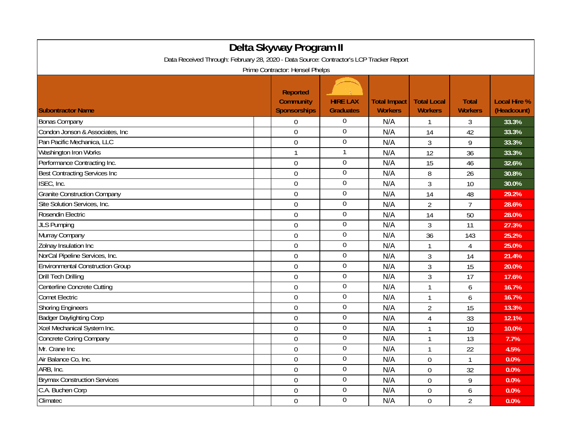| Delta Skyway Program II                                                                 |                                                            |                                     |                                       |                                      |                                |                                    |  |  |
|-----------------------------------------------------------------------------------------|------------------------------------------------------------|-------------------------------------|---------------------------------------|--------------------------------------|--------------------------------|------------------------------------|--|--|
| Data Received Through: February 28, 2020 - Data Source: Contractor's LCP Tracker Report |                                                            |                                     |                                       |                                      |                                |                                    |  |  |
| Prime Contractor: Hensel Phelps                                                         |                                                            |                                     |                                       |                                      |                                |                                    |  |  |
| <b>Subontractor Name</b>                                                                | <b>Reported</b><br><b>Community</b><br><b>Sponsorships</b> | <b>HIRE LAX</b><br><b>Graduates</b> | <b>Total Impact</b><br><b>Workers</b> | <b>Total Local</b><br><b>Workers</b> | <b>Total</b><br><b>Workers</b> | <b>Local Hire %</b><br>(Headcount) |  |  |
| <b>Bonas Company</b>                                                                    | $\Omega$                                                   | $\Omega$                            | N/A                                   | $\mathbf{1}$                         | $\overline{3}$                 | 33.3%                              |  |  |
| Condon Jonson & Associates, Inc.                                                        | $\Omega$                                                   | $\boldsymbol{0}$                    | N/A                                   | 14                                   | 42                             | 33.3%                              |  |  |
| Pan Pacific Mechanica, LLC                                                              | $\overline{0}$                                             | $\boldsymbol{0}$                    | N/A                                   | $\overline{3}$                       | 9                              | 33.3%                              |  |  |
| Washington Iron Works                                                                   | $\mathbf{1}$                                               | 1                                   | N/A                                   | 12                                   | 36                             | 33.3%                              |  |  |
| Performance Contracting Inc.                                                            | $\overline{0}$                                             | $\overline{0}$                      | N/A                                   | 15                                   | 46                             | 32.6%                              |  |  |
| <b>Best Contracting Services Inc</b>                                                    | $\mathbf 0$                                                | $\mathbf 0$                         | N/A                                   | 8                                    | 26                             | 30.8%                              |  |  |
| ISEC, Inc.                                                                              | $\overline{0}$                                             | $\overline{0}$                      | N/A                                   | 3                                    | 10                             | 30.0%                              |  |  |
| <b>Granite Construction Company</b>                                                     | $\mathbf 0$                                                | $\boldsymbol{0}$                    | N/A                                   | 14                                   | 48                             | 29.2%                              |  |  |
| Site Solution Services, Inc.                                                            | $\overline{0}$                                             | $\overline{0}$                      | N/A                                   | $\overline{2}$                       | $\overline{7}$                 | 28.6%                              |  |  |
| Rosendin Electric                                                                       | $\mathbf 0$                                                | $\mathbf 0$                         | N/A                                   | 14                                   | 50                             | 28.0%                              |  |  |
| <b>JLS Pumping</b>                                                                      | $\overline{0}$                                             | $\boldsymbol{0}$                    | N/A                                   | 3                                    | 11                             | 27.3%                              |  |  |
| Murray Company                                                                          | $\overline{0}$                                             | $\boldsymbol{0}$                    | N/A                                   | 36                                   | 143                            | 25.2%                              |  |  |
| Zolnay Insulation Inc                                                                   | $\overline{0}$                                             | $\boldsymbol{0}$                    | N/A                                   | $\mathbf{1}$                         | $\overline{4}$                 | 25.0%                              |  |  |
| NorCal Pipeline Services, Inc.                                                          | $\overline{0}$                                             | $\boldsymbol{0}$                    | N/A                                   | 3                                    | 14                             | 21.4%                              |  |  |
| <b>Environmental Construction Group</b>                                                 | $\mathbf 0$                                                | $\boldsymbol{0}$                    | N/A                                   | 3                                    | 15                             | 20.0%                              |  |  |
| <b>Drill Tech Drilling</b>                                                              | $\mathbf 0$                                                | $\boldsymbol{0}$                    | N/A                                   | 3                                    | 17                             | 17.6%                              |  |  |
| Centerline Concrete Cutting                                                             | $\mathbf 0$                                                | $\boldsymbol{0}$                    | N/A                                   | $\mathbf{1}$                         | 6                              | 16.7%                              |  |  |
| <b>Comet Electric</b>                                                                   | $\overline{0}$                                             | $\boldsymbol{0}$                    | N/A                                   | $\mathbf{1}$                         | 6                              | 16.7%                              |  |  |
| <b>Shoring Engineers</b>                                                                | $\mathbf 0$                                                | $\boldsymbol{0}$                    | N/A                                   | $\overline{2}$                       | 15                             | 13.3%                              |  |  |
| <b>Badger Daylighting Corp</b>                                                          | $\overline{0}$                                             | $\boldsymbol{0}$                    | N/A                                   | 4                                    | 33                             | 12.1%                              |  |  |
| Xcel Mechanical System Inc.                                                             | $\overline{0}$                                             | $\overline{0}$                      | N/A                                   | $\mathbf{1}$                         | 10                             | 10.0%                              |  |  |
| <b>Concrete Coring Company</b>                                                          | $\overline{0}$                                             | $\boldsymbol{0}$                    | N/A                                   | $\mathbf{1}$                         | 13                             | 7.7%                               |  |  |
| Mr. Crane Inc                                                                           | $\overline{0}$                                             | $\boldsymbol{0}$                    | N/A                                   | $\mathbf{1}$                         | 22                             | 4.5%                               |  |  |
| Air Balance Co, Inc.                                                                    | $\mathbf 0$                                                | $\mathbf 0$                         | N/A                                   | $\overline{0}$                       | $\mathbf{1}$                   | 0.0%                               |  |  |
| ARB, Inc.                                                                               | $\mathbf 0$                                                | $\overline{0}$                      | N/A                                   | $\mathbf 0$                          | 32                             | 0.0%                               |  |  |
| <b>Brymax Construction Services</b>                                                     | $\mathbf 0$                                                | $\overline{0}$                      | N/A                                   | $\mathbf 0$                          | 9                              | 0.0%                               |  |  |
| C.A. Buchen Corp                                                                        | $\overline{0}$                                             | $\boldsymbol{0}$                    | N/A                                   | $\overline{0}$                       | 6                              | 0.0%                               |  |  |
| Climatec                                                                                | $\mathbf 0$                                                | $\Omega$                            | N/A                                   | $\mathbf 0$                          | $\overline{2}$                 | 0.0%                               |  |  |